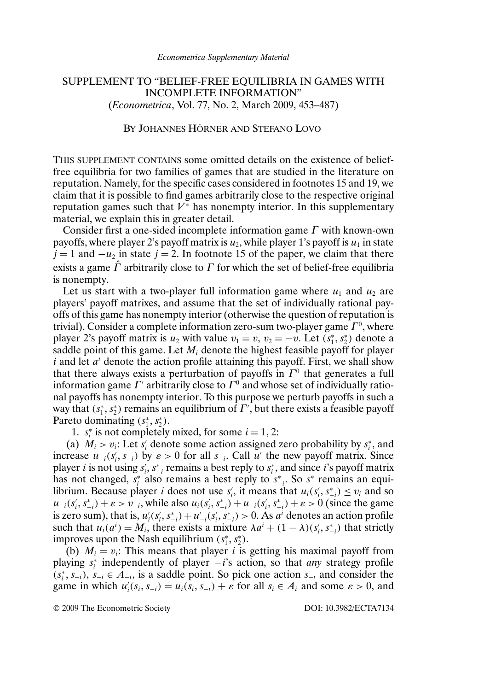## SUPPLEMENT TO "BELIEF-FREE EQUILIBRIA IN GAMES WITH INCOMPLETE INFORMATION" (*Econometrica*, Vol. 77, No. 2, March 2009, 453–487)

## BY JOHANNES HÖRNER AND STEFANO LOVO

THIS SUPPLEMENT CONTAINS some omitted details on the existence of belieffree equilibria for two families of games that are studied in the literature on reputation. Namely, for the specific cases considered in footnotes 15 and 19, we claim that it is possible to find games arbitrarily close to the respective original reputation games such that  $V^*$  has nonempty interior. In this supplementary material, we explain this in greater detail.

Consider first a one-sided incomplete information game  $\Gamma$  with known-own payoffs, where player 2's payoff matrix is  $u_2$ , while player 1's payoff is  $u_1$  in state  $j = 1$  and  $-u_2$  in state  $j = 2$ . In footnote 15 of the paper, we claim that there exists a game  $\hat{\Gamma}$  arbitrarily close to  $\Gamma$  for which the set of belief-free equilibria is nonempty.

Let us start with a two-player full information game where  $u_1$  and  $u_2$  are players' payoff matrixes, and assume that the set of individually rational payoffs of this game has nonempty interior (otherwise the question of reputation is trivial). Consider a complete information zero-sum two-player game  $\Gamma^0$ , where player 2's payoff matrix is  $u_2$  with value  $v_1 = v$ ,  $v_2 = -v$ . Let  $(s_1^*, s_2^*)$  denote a saddle point of this game. Let  $M_i$  denote the highest feasible payoff for player i and let  $a^i$  denote the action profile attaining this payoff. First, we shall show that there always exists a perturbation of payoffs in  $\Gamma^0$  that generates a full information game  $\Gamma'$  arbitrarily close to  $\Gamma^0$  and whose set of individually rational payoffs has nonempty interior. To this purpose we perturb payoffs in such a way that  $(s_1^*, s_2^*)$  remains an equilibrium of  $\Gamma'$ , but there exists a feasible payoff Pareto dominating  $(s_1^*, s_2^*)$ .

1.  $s_i^*$  is not completely mixed, for some  $i = 1, 2$ :

(a)  $M_i > v_i$ : Let  $s'_i$  denote some action assigned zero probability by  $s_i^*$ , and increase  $u_{-i}(s'_i, s_{-i})$  by  $\varepsilon > 0$  for all  $s_{-i}$ . Call u' the new payoff matrix. Since player *i* is not using  $s'_i$ ,  $s^*_{-i}$  remains a best reply to  $s^*_i$ , and since *i*'s payoff matrix has not changed,  $s_i^*$  also remains a best reply to  $s_{-i}^*$ . So  $s^*$  remains an equilibrium. Because player *i* does not use  $s'_i$ , it means that  $u_i(s'_i, s^*_{-i}) \le v_i$  and so Fortune Because player *t* does not disc  $s_i$ , it means that  $u_i(s_i, s_{-i}^*) = v_i$  and so  $u_{-i}(s_i', s_{-i}^*) + \varepsilon > v_{-i}$ , while also  $u_i(s_i', s_{-i}^*) + u_{-i}(s_i', s_{-i}^*) + \varepsilon > 0$  (since the game is zero sum), that is,  $u'_i(s'_i, s^*_{-i}) + u'_{-i}(s'_i, s^*_{-i}) > 0$ . As  $a^i$  denotes an action profile such that  $u_i(a^i) = M_i$ , there exists a mixture  $\lambda a^i + (1 - \lambda)(s'_i, s^*_{-i})$  that strictly improves upon the Nash equilibrium  $(s_1^*, s_2^*)$ .

(b)  $M_i = v_i$ : This means that player i is getting his maximal payoff from playing s<sup>∗</sup> <sup>i</sup> independently of player −i's action, so that *any* strategy profile  $(s_i^*, s_{-i}), s_{-i} \in A_{-i}$ , is a saddle point. So pick one action  $s_{-i}$  and consider the game in which  $u'_i(s_i, s_{-i}) = u_i(s_i, s_{-i}) + \varepsilon$  for all  $s_i \in A_i$  and some  $\varepsilon > 0$ , and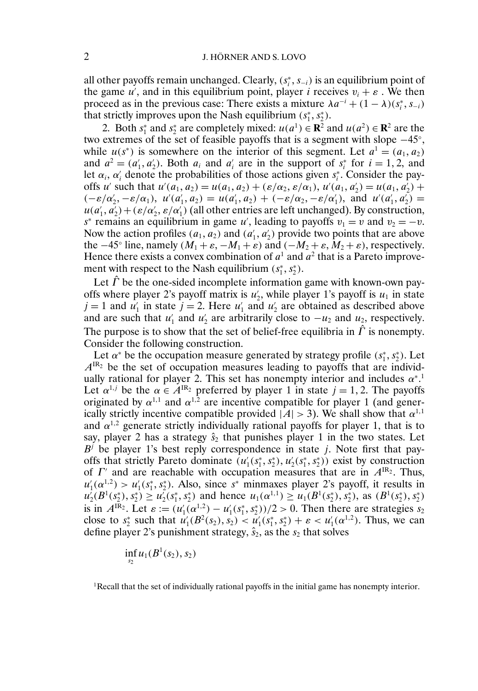all other payoffs remain unchanged. Clearly,  $(s_i^*, s_{-i})$  is an equilibrium point of the game u', and in this equilibrium point, player i receives  $v_i + \varepsilon$ . We then proceed as in the previous case: There exists a mixture  $\lambda a^{-i} + (1 - \lambda)(s_i^*, s_{-i})$ that strictly improves upon the Nash equilibrium  $(s_1^*, s_2^*)$ .

2. Both  $s_1^*$  and  $s_2^*$  are completely mixed:  $u(a^1) \in \mathbb{R}^2$  and  $u(a^2) \in \mathbb{R}^2$  are the two extremes of the set of feasible payoffs that is a segment with slope −45◦, while  $u(s^*)$  is somewhere on the interior of this segment. Let  $a^1 = (a_1, a_2)$ and  $a^2 = (a'_1, a'_2)$ . Both  $a_i$  and  $a'_i$  are in the support of  $s_i^*$  for  $i = 1, 2$ , and let  $\alpha_i$ ,  $\alpha'_i$  denote the probabilities of those actions given  $s_i^*$ . Consider the payoffs u' such that  $u'(a_1, a_2) = u(a_1, a_2) + (\varepsilon/\alpha_2, \varepsilon/\alpha_1), u'(a_1, a'_2) = u(a_1, a'_2) +$  $(-\varepsilon/\alpha'_2, -\varepsilon/\alpha_1)$ ,  $u'(a'_1, a_2) = u(a'_1, a_2) + (-\varepsilon/\alpha_2, -\varepsilon/\alpha'_1)$ , and  $u'(a'_1, a'_2) =$  $u(a'_1, a'_2) + (\varepsilon/\alpha'_2, \varepsilon/\alpha'_1)$  (all other entries are left unchanged). By construction, s<sup>∗</sup> remains an equilibrium in game u', leading to payoffs  $v_1 = v$  and  $v_2 = -v$ . Now the action profiles  $(a_1, a_2)$  and  $(a'_1, a'_2)$  provide two points that are above the  $-45°$  line, namely  $(M_1 + \varepsilon, -M_1 + \varepsilon)$  and  $(-M_2 + \varepsilon, M_2 + \varepsilon)$ , respectively. Hence there exists a convex combination of  $a<sup>1</sup>$  and  $a<sup>2</sup>$  that is a Pareto improvement with respect to the Nash equilibrium  $(s_1^*, s_2^*)$ .

Let  $\hat{\Gamma}$  be the one-sided incomplete information game with known-own payoffs where player 2's payoff matrix is  $u'_2$ , while player 1's payoff is  $u_1$  in state  $j = 1$  and  $u'_1$  in state  $j = 2$ . Here  $u'_1$  and  $u'_2$  are obtained as described above and are such that  $u'_1$  and  $u'_2$  are arbitrarily close to  $-u_2$  and  $u_2$ , respectively. The purpose is to show that the set of belief-free equilibria in  $\hat{\Gamma}$  is nonempty. Consider the following construction.

Let  $\alpha^*$  be the occupation measure generated by strategy profile  $(s_1^*, s_2^*)$ . Let  $A^{IR_2}$  be the set of occupation measures leading to payoffs that are individually rational for player 2. This set has nonempty interior and includes  $\alpha^*$ .<sup>1</sup> Let  $\alpha^{1,j}$  be the  $\alpha \in A^{IR_2}$  preferred by player 1 in state  $j = 1, 2$ . The payoffs originated by  $\alpha^{1,1}$  and  $\alpha^{1,2}$  are incentive compatible for player 1 (and generically strictly incentive compatible provided  $|A| > 3$ ). We shall show that  $\alpha^{1,1}$ and  $\alpha^{1,2}$  generate strictly individually rational payoffs for player 1, that is to say, player 2 has a strategy  $\hat{s}_2$  that punishes player 1 in the two states. Let  $B^j$  be player 1's best reply correspondence in state j. Note first that payoffs that strictly Pareto dominate  $(u_1'(s_1^*, s_2^*), u_2'(s_1^*, s_2^*))$  exist by construction of  $\Gamma'$  and are reachable with occupation measures that are in  $A^{IR_2}$ . Thus,  $u'_1(\alpha^{1,2}) > u'_1(s_1^*, s_2^*)$ . Also, since s<sup>\*</sup> minmaxes player 2's payoff, it results in  $u'_2(B^1(s_2^*), s_2^*) \ge u'_2(s_1^*, s_2^*)$  and hence  $u_1(\alpha^{1,1}) \ge u_1(B^1(s_2^*), s_2^*)$ , as  $(B^1(s_2^*), s_2^*)$ is in  $A^{IR_2}$ . Let  $\varepsilon := (u'_1(\alpha^{1,2}) - u'_1(s_1^*, s_2^*))/2 > 0$ . Then there are strategies  $s_2$ close to  $s_2^*$  such that  $u'_1(B^2(s_2), s_2) < u'_1(s_1^*, s_2^*) + \varepsilon < u'_1(\alpha^{1,2})$ . Thus, we can define player 2's punishment strategy,  $\hat{s}_2$ , as the  $s_2$  that solves

$$
\inf_{s_2} u_1(B^1(s_2), s_2)
$$

1Recall that the set of individually rational payoffs in the initial game has nonempty interior.